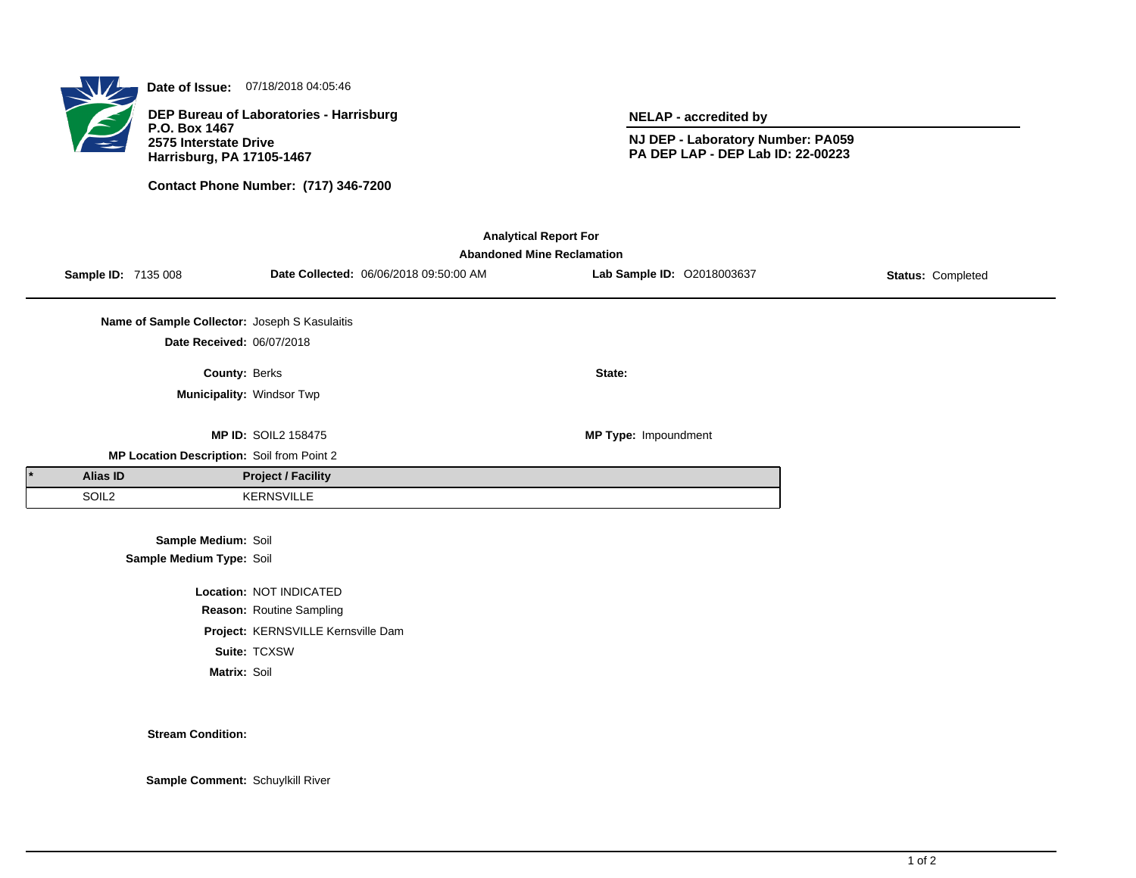

**Date of Issue:** 07/18/2018 04:05:46

**DEP Bureau of Laboratories - Harrisburg P.O. Box 1467 2575 Interstate Drive Harrisburg, PA 17105-1467**

**Contact Phone Number: (717) 346-7200**

**NELAP - accredited by**

**NJ DEP - Laboratory Number: PA059 PA DEP LAP - DEP Lab ID: 22-00223**

| <b>Analytical Report For</b><br><b>Abandoned Mine Reclamation</b> |                     |                                               |                                    |                                        |                            |                   |  |  |  |
|-------------------------------------------------------------------|---------------------|-----------------------------------------------|------------------------------------|----------------------------------------|----------------------------|-------------------|--|--|--|
|                                                                   | Sample ID: 7135 008 |                                               |                                    | Date Collected: 06/06/2018 09:50:00 AM | Lab Sample ID: 02018003637 | Status: Completed |  |  |  |
|                                                                   |                     | Name of Sample Collector: Joseph S Kasulaitis |                                    |                                        |                            |                   |  |  |  |
|                                                                   |                     | Date Received: 06/07/2018                     |                                    |                                        |                            |                   |  |  |  |
|                                                                   |                     | County: Berks                                 |                                    |                                        | State:                     |                   |  |  |  |
|                                                                   |                     | Municipality: Windsor Twp                     |                                    |                                        |                            |                   |  |  |  |
|                                                                   |                     |                                               | <b>MP ID: SOIL2 158475</b>         |                                        | MP Type: Impoundment       |                   |  |  |  |
|                                                                   |                     | MP Location Description: Soil from Point 2    |                                    |                                        |                            |                   |  |  |  |
|                                                                   | <b>Alias ID</b>     |                                               | <b>Project / Facility</b>          |                                        |                            |                   |  |  |  |
|                                                                   | SOIL <sub>2</sub>   |                                               | <b>KERNSVILLE</b>                  |                                        |                            |                   |  |  |  |
|                                                                   |                     | Sample Medium: Soil                           |                                    |                                        |                            |                   |  |  |  |
|                                                                   |                     | Sample Medium Type: Soil                      |                                    |                                        |                            |                   |  |  |  |
| Location: NOT INDICATED                                           |                     |                                               |                                    |                                        |                            |                   |  |  |  |
|                                                                   |                     |                                               | Reason: Routine Sampling           |                                        |                            |                   |  |  |  |
|                                                                   |                     |                                               | Project: KERNSVILLE Kernsville Dam |                                        |                            |                   |  |  |  |

**Suite:** TCXSW

**Matrix:** Soil

**Stream Condition:**

**Sample Comment:** Schuylkill River